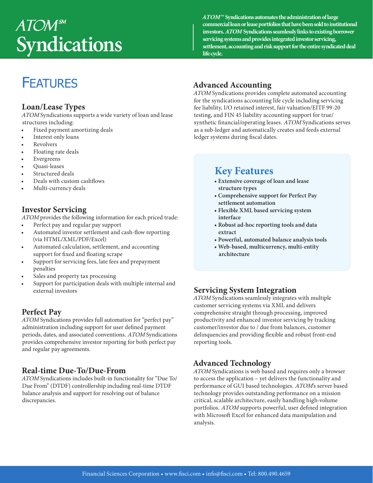# $A TOM<sup>sm</sup>$ **Syndications**

**ATOMSM Syndications automates the administration of large commercial loan or lease portfolios that have been sold to institutional investors. ATOM Syndications seamlessly links to existing borrower servicing systems and provides integrated investor servicing, settlement, accounting and risk support for the entire syndicated deal life cycle.** 

## **FEATURES**

#### **Loan/Lease Types**

ATOM Syndications supports a wide variety of loan and lease structures including:

- Fixed payment amortizing deals
- Interest only loans
- **Revolvers**
- Floating rate deals
- **Evergreens**
- Quasi-leases
- Structured deals
- Deals with custom cashflows
- Multi-currency deals

#### **Investor Servicing**

ATOM provides the following information for each priced trade:

- Perfect pay and regular pay support
- Automated investor settlement and cash-flow reporting (via HTML/XML/PDF/Excel)
- Automated calculation, settlement, and accounting support for fixed and floating scrape
- Support for servicing fees, late fees and prepayment penalties
- Sales and property tax processing
- Support for participation deals with multiple internal and external investors

#### **Perfect Pay**

ATOM Syndications provides full automation for "perfect pay" administration including support for user defined payment periods, dates, and associated conventions. ATOM Syndications provides comprehensive investor reporting for both perfect pay and regular pay agreements.

#### **Real-time Due-To/Due-From**

ATOM Syndications includes built-in functionality for "Due To/ Due From" (DTDF) controllership including real-time DTDF balance analysis and support for resolving out of balance discrepancies.

#### **Advanced Accounting**

ATOM Syndications provides complete automated accounting for the syndications accounting life cycle including servicing fee liability, I/O retained interest, fair valuation/EITF 99-20 testing, and FIN 45 liability accounting support for true/ synthetic financial/operating leases. ATOM Syndications serves as a sub-ledger and automatically creates and feeds external ledger systems during fiscal dates.

### **Key Features**

- **Extensive coverage of loan and lease structure types**
- **Comprehensive support for Perfect Pay settlement automation**
- **Flexible XML based servicing system interface**
- **Robust ad-hoc reporting tools and data extract**
- **Powerful, automated balance analysis tools**
- **Web-based, multicurrency, multi-entity architecture**

#### **Servicing System Integration**

ATOM Syndications seamlessly integrates with multiple customer servicing systems via XML and delivers comprehensive straight through processing, improved productivity and enhanced investor servicing by tracking customer/investor due to / due from balances, customer delinquencies and providing flexible and robust front-end reporting tools.

#### **Advanced Technology**

ATOM Syndications is web based and requires only a browser to access the application – yet delivers the functionality and performance of GUI based technologies. ATOM's server based technology provides outstanding performance on a mission critical, scalable architecture, easily handling high-volume portfolios. ATOM supports powerful, user defined integration with Microsoft Excel for enhanced data manipulation and analysis.